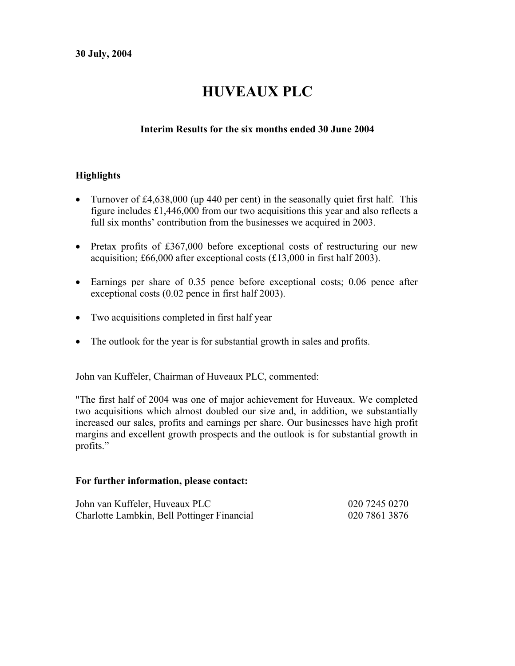# **HUVEAUX PLC**

## **Interim Results for the six months ended 30 June 2004**

## **Highlights**

- Turnover of £4,638,000 (up 440 per cent) in the seasonally quiet first half. This figure includes £1,446,000 from our two acquisitions this year and also reflects a full six months' contribution from the businesses we acquired in 2003.
- Pretax profits of £367,000 before exceptional costs of restructuring our new acquisition; £66,000 after exceptional costs (£13,000 in first half 2003).
- Earnings per share of 0.35 pence before exceptional costs; 0.06 pence after exceptional costs (0.02 pence in first half 2003).
- Two acquisitions completed in first half year
- The outlook for the year is for substantial growth in sales and profits.

John van Kuffeler, Chairman of Huveaux PLC, commented:

"The first half of 2004 was one of major achievement for Huveaux. We completed two acquisitions which almost doubled our size and, in addition, we substantially increased our sales, profits and earnings per share. Our businesses have high profit margins and excellent growth prospects and the outlook is for substantial growth in profits."

#### **For further information, please contact:**

| John van Kuffeler, Huveaux PLC              | 020 7245 0270 |
|---------------------------------------------|---------------|
| Charlotte Lambkin, Bell Pottinger Financial | 020 7861 3876 |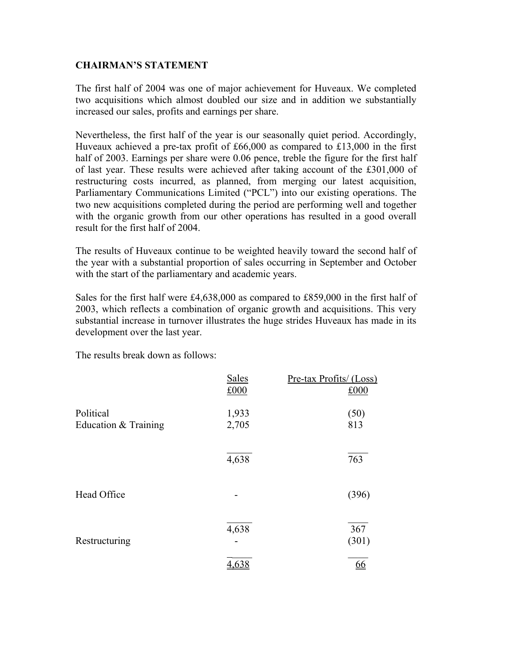#### **CHAIRMAN'S STATEMENT**

The first half of 2004 was one of major achievement for Huveaux. We completed two acquisitions which almost doubled our size and in addition we substantially increased our sales, profits and earnings per share.

Nevertheless, the first half of the year is our seasonally quiet period. Accordingly, Huveaux achieved a pre-tax profit of £66,000 as compared to £13,000 in the first half of 2003. Earnings per share were 0.06 pence, treble the figure for the first half of last year. These results were achieved after taking account of the £301,000 of restructuring costs incurred, as planned, from merging our latest acquisition, Parliamentary Communications Limited ("PCL") into our existing operations. The two new acquisitions completed during the period are performing well and together with the organic growth from our other operations has resulted in a good overall result for the first half of 2004.

The results of Huveaux continue to be weighted heavily toward the second half of the year with a substantial proportion of sales occurring in September and October with the start of the parliamentary and academic years.

Sales for the first half were £4,638,000 as compared to £859,000 in the first half of 2003, which reflects a combination of organic growth and acquisitions. This very substantial increase in turnover illustrates the huge strides Huveaux has made in its development over the last year.

The results break down as follows:

|                                   | <b>Sales</b><br>£000 | Pre-tax Profits/ (Loss)<br>£000 |
|-----------------------------------|----------------------|---------------------------------|
| Political<br>Education & Training | 1,933<br>2,705       | (50)<br>813                     |
|                                   | 4,638                | 763                             |
| Head Office                       |                      | (396)                           |
| Restructuring                     | 4,638                | 367<br>(301)                    |
|                                   | <u>4.63</u>          | <u>66</u>                       |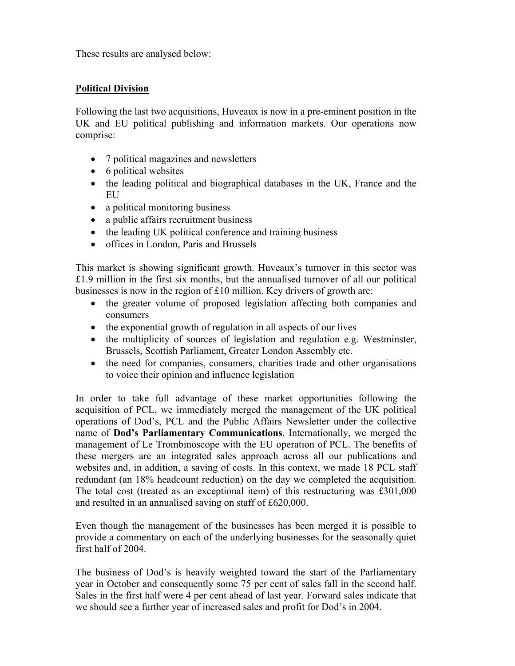These results are analysed below:

#### **Political Division**

Following the last two acquisitions, Huveaux is now in a pre-eminent position in the UK and EU political publishing and information markets. Our operations now comprise:

- 7 political magazines and newsletters
- 6 political websites
- the leading political and biographical databases in the UK, France and the EU
- a political monitoring business
- a public affairs recruitment business
- the leading UK political conference and training business
- offices in London, Paris and Brussels

This market is showing significant growth. Huveaux's turnover in this sector was £1.9 million in the first six months, but the annualised turnover of all our political businesses is now in the region of £10 million. Key drivers of growth are:

- the greater volume of proposed legislation affecting both companies and consumers
- the exponential growth of regulation in all aspects of our lives
- the multiplicity of sources of legislation and regulation e.g. Westminster, Brussels, Scottish Parliament, Greater London Assembly etc.
- the need for companies, consumers, charities trade and other organisations to voice their opinion and influence legislation

In order to take full advantage of these market opportunities following the acquisition of PCL, we immediately merged the management of the UK political operations of Dod's, PCL and the Public Affairs Newsletter under the collective name of **Dod's Parliamentary Communications**. Internationally, we merged the management of Le Trombinoscope with the EU operation of PCL. The benefits of these mergers are an integrated sales approach across all our publications and websites and, in addition, a saving of costs. In this context, we made 18 PCL staff redundant (an 18% headcount reduction) on the day we completed the acquisition. The total cost (treated as an exceptional item) of this restructuring was £301,000 and resulted in an annualised saving on staff of £620,000.

Even though the management of the businesses has been merged it is possible to provide a commentary on each of the underlying businesses for the seasonally quiet first half of 2004.

The business of Dod's is heavily weighted toward the start of the Parliamentary year in October and consequently some 75 per cent of sales fall in the second half. Sales in the first half were 4 per cent ahead of last year. Forward sales indicate that we should see a further year of increased sales and profit for Dod's in 2004.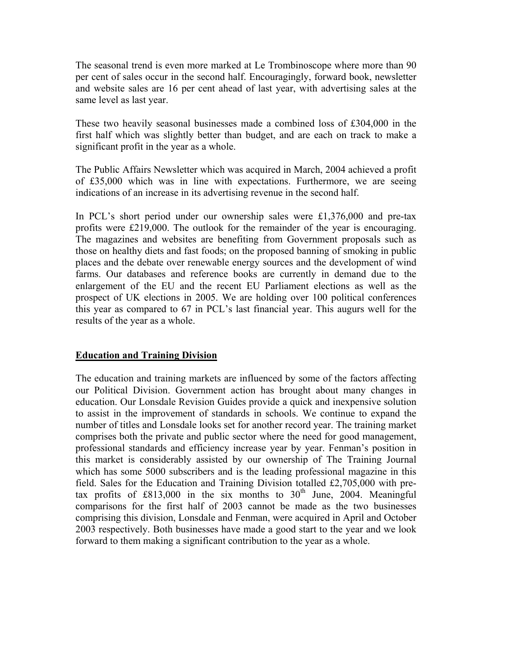The seasonal trend is even more marked at Le Trombinoscope where more than 90 per cent of sales occur in the second half. Encouragingly, forward book, newsletter and website sales are 16 per cent ahead of last year, with advertising sales at the same level as last year.

These two heavily seasonal businesses made a combined loss of £304,000 in the first half which was slightly better than budget, and are each on track to make a significant profit in the year as a whole.

The Public Affairs Newsletter which was acquired in March, 2004 achieved a profit of £35,000 which was in line with expectations. Furthermore, we are seeing indications of an increase in its advertising revenue in the second half.

In PCL's short period under our ownership sales were £1,376,000 and pre-tax profits were £219,000. The outlook for the remainder of the year is encouraging. The magazines and websites are benefiting from Government proposals such as those on healthy diets and fast foods; on the proposed banning of smoking in public places and the debate over renewable energy sources and the development of wind farms. Our databases and reference books are currently in demand due to the enlargement of the EU and the recent EU Parliament elections as well as the prospect of UK elections in 2005. We are holding over 100 political conferences this year as compared to 67 in PCL's last financial year. This augurs well for the results of the year as a whole.

#### **Education and Training Division**

The education and training markets are influenced by some of the factors affecting our Political Division. Government action has brought about many changes in education. Our Lonsdale Revision Guides provide a quick and inexpensive solution to assist in the improvement of standards in schools. We continue to expand the number of titles and Lonsdale looks set for another record year. The training market comprises both the private and public sector where the need for good management, professional standards and efficiency increase year by year. Fenman's position in this market is considerably assisted by our ownership of The Training Journal which has some 5000 subscribers and is the leading professional magazine in this field. Sales for the Education and Training Division totalled £2,705,000 with pretax profits of £813,000 in the six months to  $30<sup>th</sup>$  June, 2004. Meaningful comparisons for the first half of 2003 cannot be made as the two businesses comprising this division, Lonsdale and Fenman, were acquired in April and October 2003 respectively. Both businesses have made a good start to the year and we look forward to them making a significant contribution to the year as a whole.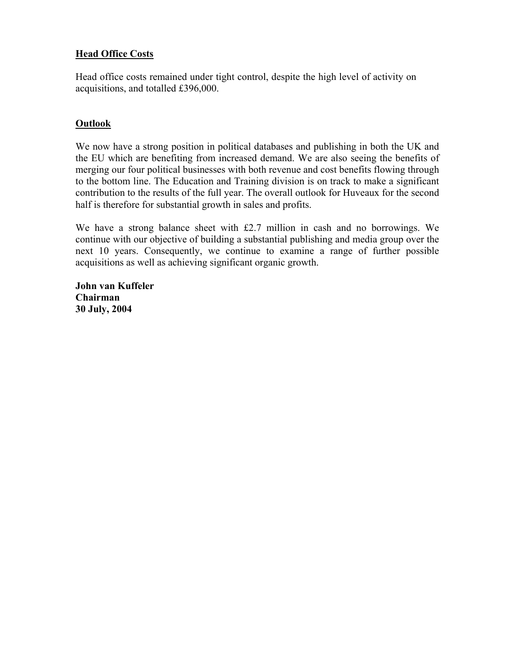## **Head Office Costs**

Head office costs remained under tight control, despite the high level of activity on acquisitions, and totalled £396,000.

#### **Outlook**

We now have a strong position in political databases and publishing in both the UK and the EU which are benefiting from increased demand. We are also seeing the benefits of merging our four political businesses with both revenue and cost benefits flowing through to the bottom line. The Education and Training division is on track to make a significant contribution to the results of the full year. The overall outlook for Huveaux for the second half is therefore for substantial growth in sales and profits.

We have a strong balance sheet with £2.7 million in cash and no borrowings. We continue with our objective of building a substantial publishing and media group over the next 10 years. Consequently, we continue to examine a range of further possible acquisitions as well as achieving significant organic growth.

**John van Kuffeler Chairman 30 July, 2004**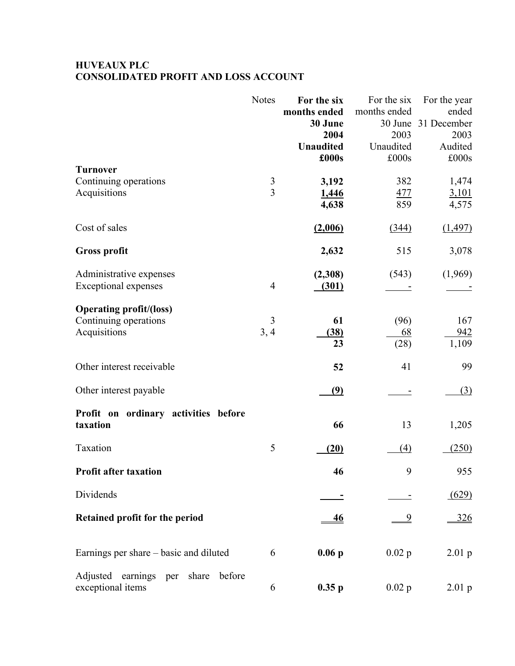## **HUVEAUX PLC CONSOLIDATED PROFIT AND LOSS ACCOUNT**

|                                                                         | <b>Notes</b>        | For the six<br>months ended<br>30 June<br>2004<br><b>Unaudited</b><br>£000s | For the six<br>months ended<br>2003<br>Unaudited<br>£000s | For the year<br>ended<br>30 June 31 December<br>2003<br>Audited<br>£000s |
|-------------------------------------------------------------------------|---------------------|-----------------------------------------------------------------------------|-----------------------------------------------------------|--------------------------------------------------------------------------|
| <b>Turnover</b><br>Continuing operations<br>Acquisitions                | 3<br>$\overline{3}$ | 3,192<br>1,446<br>4,638                                                     | 382<br>477<br>859                                         | 1,474<br>3,101<br>4,575                                                  |
| Cost of sales                                                           |                     | (2,006)                                                                     | (344)                                                     | (1, 497)                                                                 |
| <b>Gross profit</b>                                                     |                     | 2,632                                                                       | 515                                                       | 3,078                                                                    |
| Administrative expenses<br><b>Exceptional expenses</b>                  | $\overline{4}$      | (2,308)<br>(301)                                                            | (543)                                                     | (1,969)                                                                  |
| <b>Operating profit/(loss)</b><br>Continuing operations<br>Acquisitions | 3<br>3, 4           | 61<br>(38)<br>23                                                            | (96)<br>68<br>(28)                                        | 167<br>942<br>1,109                                                      |
| Other interest receivable                                               |                     | 52                                                                          | 41                                                        | 99                                                                       |
| Other interest payable                                                  |                     | <u>(9)</u>                                                                  |                                                           | (3)                                                                      |
| Profit on ordinary activities before<br>taxation                        |                     | 66                                                                          | 13                                                        | 1,205                                                                    |
| Taxation                                                                | 5                   | (20)                                                                        | (4)                                                       | (250)                                                                    |
| <b>Profit after taxation</b>                                            |                     | 46                                                                          | 9                                                         | 955                                                                      |
| Dividends                                                               |                     |                                                                             |                                                           | (629)                                                                    |
| Retained profit for the period                                          |                     | <u>46</u>                                                                   | <u>9</u>                                                  | 326                                                                      |
| Earnings per share – basic and diluted                                  | 6                   | $0.06$ p                                                                    | $0.02$ p                                                  | $2.01$ p                                                                 |
| Adjusted earnings per share<br>before<br>exceptional items              | 6                   | 0.35p                                                                       | $0.02$ p                                                  | $2.01\text{ p}$                                                          |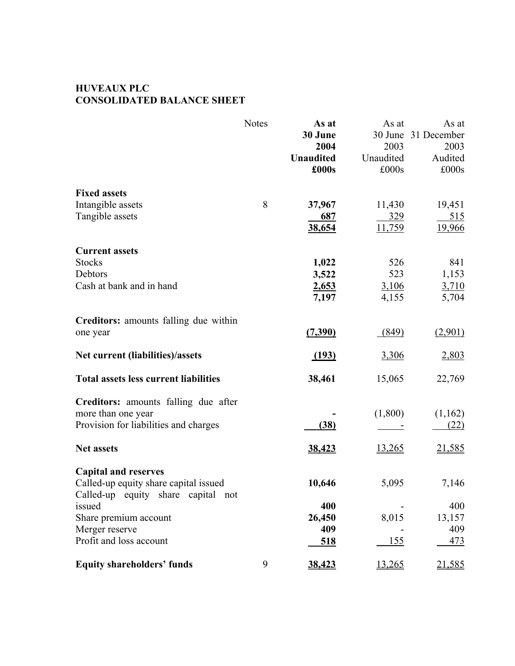## **HUVEAUX PLC CONSOLIDATED BALANCE SHEET**

|                                              | <b>Notes</b> | As at            | As at       | As at       |
|----------------------------------------------|--------------|------------------|-------------|-------------|
|                                              |              | 30 June          | 30 June     | 31 December |
|                                              |              | 2004             | 2003        | 2003        |
|                                              |              | <b>Unaudited</b> | Unaudited   | Audited     |
|                                              |              | £000s            | £000s       | £000s       |
| <b>Fixed assets</b>                          |              |                  |             |             |
| Intangible assets                            | 8            | 37,967           | 11,430      | 19,451      |
| Tangible assets                              |              | 687              | 329         | 515         |
|                                              |              | 38,654           | 11,759      | 19,966      |
| <b>Current assets</b>                        |              |                  |             |             |
| <b>Stocks</b>                                |              | 1,022            | 526         | 841         |
| Debtors                                      |              | 3,522            | 523         | 1,153       |
| Cash at bank and in hand                     |              | 2,653            | 3,106       | 3,710       |
|                                              |              | 7,197            | 4,155       | 5,704       |
| Creditors: amounts falling due within        |              |                  |             |             |
| one year                                     |              | (7,390)          | (849)       | (2,901)     |
| Net current (liabilities)/assets             |              | (193)            | 3,306       | 2,803       |
| <b>Total assets less current liabilities</b> |              | 38,461           | 15,065      | 22,769      |
| Creditors: amounts falling due after         |              |                  |             |             |
| more than one year                           |              |                  | (1,800)     | (1,162)     |
| Provision for liabilities and charges        |              | (38)             |             | (22)        |
| <b>Net assets</b>                            |              | 38,423           | 13,265      | 21,585      |
| <b>Capital and reserves</b>                  |              |                  |             |             |
| Called-up equity share capital issued        |              | 10,646           | 5,095       | 7,146       |
| Called-up equity share capital not<br>issued |              | 400              |             | 400         |
| Share premium account                        |              | 26,450           | 8,015       | 13,157      |
| Merger reserve                               |              | 409              |             | 409         |
| Profit and loss account                      |              | <u>518</u>       | <u> 155</u> | <u>473</u>  |
| <b>Equity shareholders' funds</b>            | 9            | 38,423           | 13,265      | 21,585      |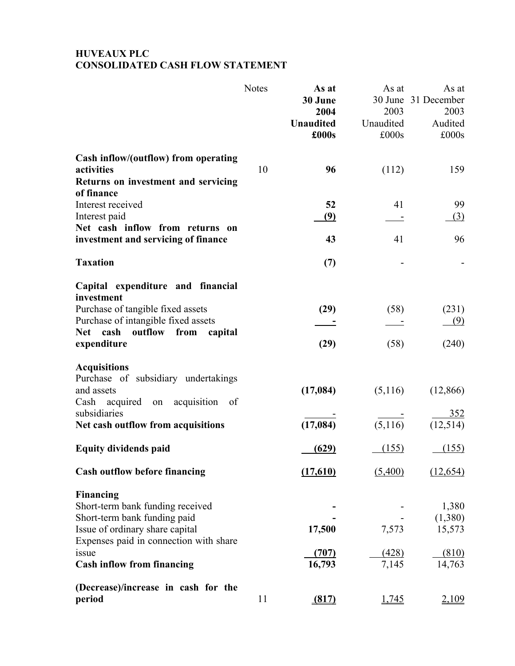## **HUVEAUX PLC CONSOLIDATED CASH FLOW STATEMENT**

|                                               | <b>Notes</b> | As at            | As at     | As at               |
|-----------------------------------------------|--------------|------------------|-----------|---------------------|
|                                               |              | 30 June          |           | 30 June 31 December |
|                                               |              | 2004             | 2003      | 2003                |
|                                               |              | <b>Unaudited</b> | Unaudited | Audited             |
|                                               |              | £000s            | £000s     | £000s               |
| Cash inflow/(outflow) from operating          |              |                  |           |                     |
| activities                                    | 10           | 96               | (112)     | 159                 |
| Returns on investment and servicing           |              |                  |           |                     |
| of finance                                    |              |                  |           |                     |
| Interest received                             |              | 52               | 41        | 99                  |
| Interest paid                                 |              | <u>(9)</u>       |           | <u>(3)</u>          |
| Net cash inflow from returns on               |              |                  |           |                     |
| investment and servicing of finance           |              | 43               | 41        | 96                  |
| <b>Taxation</b>                               |              | (7)              |           |                     |
| Capital expenditure and financial             |              |                  |           |                     |
| investment                                    |              |                  |           |                     |
| Purchase of tangible fixed assets             |              | (29)             | (58)      | (231)               |
| Purchase of intangible fixed assets           |              |                  |           | (9)                 |
| cash<br><b>Net</b><br>outflow from<br>capital |              |                  |           |                     |
| expenditure                                   |              | (29)             | (58)      | (240)               |
| <b>Acquisitions</b>                           |              |                  |           |                     |
| Purchase of subsidiary undertakings           |              |                  |           |                     |
| and assets                                    |              | (17, 084)        | (5,116)   | (12, 866)           |
| Cash acquired on acquisition<br>- of          |              |                  |           |                     |
| subsidiaries                                  |              |                  |           | 352                 |
| Net cash outflow from acquisitions            |              | (17, 084)        | (5,116)   | (12, 514)           |
| <b>Equity dividends paid</b>                  |              | (629)            | (155)     | (155)               |
| <b>Cash outflow before financing</b>          |              | (17,610)         | (5,400)   | (12, 654)           |
| <b>Financing</b>                              |              |                  |           |                     |
| Short-term bank funding received              |              |                  |           | 1,380               |
| Short-term bank funding paid                  |              |                  |           | (1,380)             |
| Issue of ordinary share capital               |              | 17,500           | 7,573     | 15,573              |
| Expenses paid in connection with share        |              |                  |           |                     |
| issue                                         |              | (707)            | (428)     | (810)               |
| <b>Cash inflow from financing</b>             |              | 16,793           | 7,145     | 14,763              |
| (Decrease)/increase in cash for the           |              |                  |           |                     |
| period                                        | 11           | (817)            | 1,745     | 2,109               |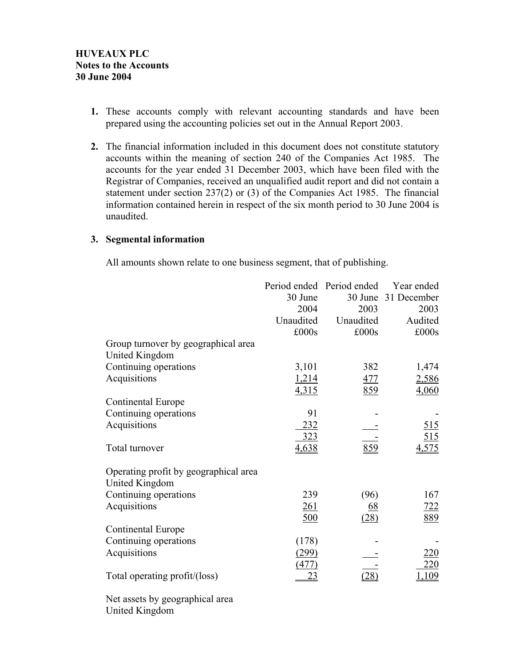- **1.** These accounts comply with relevant accounting standards and have been prepared using the accounting policies set out in the Annual Report 2003.
- **2.** The financial information included in this document does not constitute statutory accounts within the meaning of section 240 of the Companies Act 1985. The accounts for the year ended 31 December 2003, which have been filed with the Registrar of Companies, received an unqualified audit report and did not contain a statement under section 237(2) or (3) of the Companies Act 1985. The financial information contained herein in respect of the six month period to 30 June 2004 is unaudited.

#### **3. Segmental information**

All amounts shown relate to one business segment, that of publishing.

|                                       |            | Period ended Period ended | Year ended          |
|---------------------------------------|------------|---------------------------|---------------------|
|                                       | 30 June    |                           | 30 June 31 December |
|                                       | 2004       | 2003                      | 2003                |
|                                       | Unaudited  | Unaudited                 | Audited             |
|                                       | £000s      | £000s                     | £000s               |
| Group turnover by geographical area   |            |                           |                     |
| United Kingdom                        |            |                           |                     |
| Continuing operations                 | 3,101      | 382                       | 1,474               |
| Acquisitions                          | 1,214      | <u>477</u>                | 2,586               |
|                                       | 4,315      | 859                       | 4,060               |
| Continental Europe                    |            |                           |                     |
| Continuing operations                 | 91         |                           |                     |
| Acquisitions                          | 232        |                           | 515                 |
|                                       | 323        |                           | 515                 |
| Total turnover                        | 4,638      | 859                       | 4,575               |
| Operating profit by geographical area |            |                           |                     |
| United Kingdom                        |            |                           |                     |
| Continuing operations                 | 239        | (96)                      | 167                 |
| Acquisitions                          | <u>261</u> | <u>68</u>                 | 722                 |
|                                       | 500        | (28)                      | 889                 |
| Continental Europe                    |            |                           |                     |
| Continuing operations                 | (178)      |                           |                     |
| Acquisitions                          | (299)      |                           | <u> 220</u>         |
|                                       | (477)      |                           | 220                 |
| Total operating profit/(loss)         | 23         | (28)                      | <u> 109</u>         |
|                                       |            |                           |                     |

Net assets by geographical area United Kingdom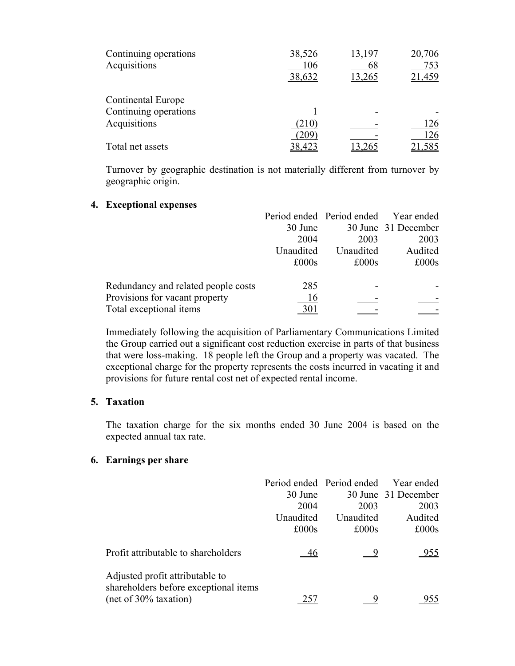| Continuing operations<br>Acquisitions | 38,526<br>106<br>38,632 | 13,197<br>68<br>13,265 | 20,706<br>753<br>21,459 |
|---------------------------------------|-------------------------|------------------------|-------------------------|
| Continental Europe                    |                         |                        |                         |
| Continuing operations                 |                         |                        |                         |
| Acquisitions                          | (210)                   |                        | 126                     |
|                                       | 209                     |                        | 126                     |
| Total net assets                      | 38,423                  |                        | 21,585                  |

Turnover by geographic destination is not materially different from turnover by geographic origin.

#### **4. Exceptional expenses**

|                                     |           |           | Period ended Period ended Year ended |
|-------------------------------------|-----------|-----------|--------------------------------------|
|                                     | 30 June   |           | 30 June 31 December                  |
|                                     | 2004      | 2003      | 2003                                 |
|                                     | Unaudited | Unaudited | Audited                              |
|                                     | £000s     | £000s     | £000s                                |
| Redundancy and related people costs | 285       |           |                                      |
| Provisions for vacant property      | 16        |           |                                      |
| Total exceptional items             |           |           |                                      |

Immediately following the acquisition of Parliamentary Communications Limited the Group carried out a significant cost reduction exercise in parts of that business that were loss-making. 18 people left the Group and a property was vacated. The exceptional charge for the property represents the costs incurred in vacating it and provisions for future rental cost net of expected rental income.

#### **5. Taxation**

The taxation charge for the six months ended 30 June 2004 is based on the expected annual tax rate.

#### **6. Earnings per share**

|                                                                                                      | 30 June<br>2004<br>Unaudited | Period ended Period ended<br>2003<br>Unaudited | Year ended<br>30 June 31 December<br>2003<br>Audited |
|------------------------------------------------------------------------------------------------------|------------------------------|------------------------------------------------|------------------------------------------------------|
|                                                                                                      | £000s                        | £000s                                          | £000s                                                |
| Profit attributable to shareholders                                                                  |                              |                                                | <u>955</u>                                           |
| Adjusted profit attributable to<br>shareholders before exceptional items<br>$(net of 30\% taxation)$ |                              |                                                |                                                      |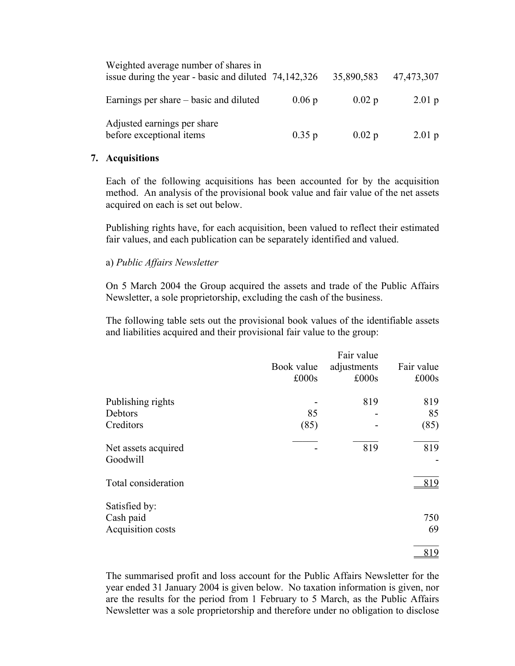| Weighted average number of shares in<br>issue during the year - basic and diluted 74,142,326 |       | 35,890,583         | 47,473,307         |
|----------------------------------------------------------------------------------------------|-------|--------------------|--------------------|
| Earnings per share – basic and diluted                                                       | 0.06p | $0.02\,\mathrm{p}$ | $2.01\,\mathrm{p}$ |
| Adjusted earnings per share<br>before exceptional items                                      | 0.35p | $0.02$ p           | $2.01\,\mathrm{p}$ |

#### **7. Acquisitions**

Each of the following acquisitions has been accounted for by the acquisition method. An analysis of the provisional book value and fair value of the net assets acquired on each is set out below.

Publishing rights have, for each acquisition, been valued to reflect their estimated fair values, and each publication can be separately identified and valued.

#### a) *Public Affairs Newsletter*

On 5 March 2004 the Group acquired the assets and trade of the Public Affairs Newsletter, a sole proprietorship, excluding the cash of the business.

The following table sets out the provisional book values of the identifiable assets and liabilities acquired and their provisional fair value to the group:

|                                 |            | Fair value  |            |
|---------------------------------|------------|-------------|------------|
|                                 | Book value | adjustments | Fair value |
|                                 | £000s      | £000s       | £000s      |
| Publishing rights               |            | 819         | 819        |
| Debtors                         | 85         |             | 85         |
| Creditors                       | (85)       |             | (85)       |
| Net assets acquired<br>Goodwill |            | 819         | 819        |
| Total consideration             |            |             | 819        |
| Satisfied by:                   |            |             |            |
| Cash paid                       |            |             | 750        |
| Acquisition costs               |            |             | 69         |
|                                 |            |             | 819        |

The summarised profit and loss account for the Public Affairs Newsletter for the year ended 31 January 2004 is given below. No taxation information is given, nor are the results for the period from 1 February to 5 March, as the Public Affairs Newsletter was a sole proprietorship and therefore under no obligation to disclose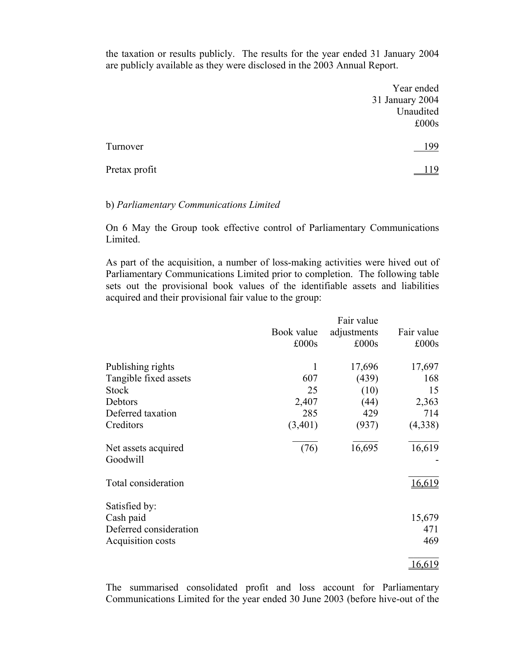the taxation or results publicly. The results for the year ended 31 January 2004 are publicly available as they were disclosed in the 2003 Annual Report.

|               | Year ended      |
|---------------|-----------------|
|               | 31 January 2004 |
|               | Unaudited       |
|               | £000s           |
|               |                 |
| Turnover      | 199             |
|               |                 |
| Pretax profit | 119             |
|               |                 |

#### b) *Parliamentary Communications Limited*

On 6 May the Group took effective control of Parliamentary Communications Limited.

As part of the acquisition, a number of loss-making activities were hived out of Parliamentary Communications Limited prior to completion. The following table sets out the provisional book values of the identifiable assets and liabilities acquired and their provisional fair value to the group:

|                                 |            | Fair value  |            |
|---------------------------------|------------|-------------|------------|
|                                 | Book value | adjustments | Fair value |
|                                 | £000s      | £000s       | £000s      |
| Publishing rights               | 1          | 17,696      | 17,697     |
| Tangible fixed assets           | 607        | (439)       | 168        |
| <b>Stock</b>                    | 25         | (10)        | 15         |
| Debtors                         | 2,407      | (44)        | 2,363      |
| Deferred taxation               | 285        | 429         | 714        |
| Creditors                       | (3,401)    | (937)       | (4,338)    |
| Net assets acquired<br>Goodwill | (76)       | 16,695      | 16,619     |
| Total consideration             |            |             | 16,619     |
| Satisfied by:                   |            |             |            |
| Cash paid                       |            |             | 15,679     |
| Deferred consideration          |            |             | 471        |
| Acquisition costs               |            |             | 469        |
|                                 |            |             | 16,619     |

The summarised consolidated profit and loss account for Parliamentary Communications Limited for the year ended 30 June 2003 (before hive-out of the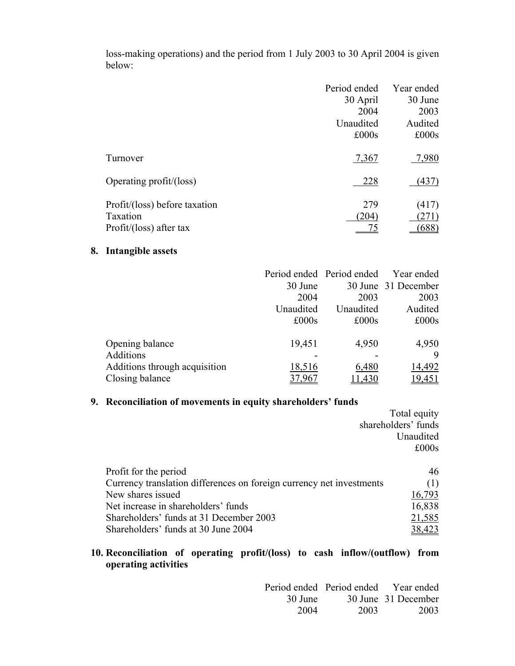|                               | Period ended | Year ended |
|-------------------------------|--------------|------------|
|                               | 30 April     | 30 June    |
|                               | 2004         | 2003       |
|                               | Unaudited    | Audited    |
|                               | £000s        | £000s      |
| Turnover                      | 7,367        | 7,980      |
| Operating profit/(loss)       | 228          | (437)      |
| Profit/(loss) before taxation | 279          | (417)      |
| Taxation                      | (204)        | 271)       |
| Profit/(loss) after tax       |              | (688)      |

loss-making operations) and the period from 1 July 2003 to 30 April 2004 is given below:

## **8. Intangible assets**

|                               |           | Period ended Period ended | Year ended          |
|-------------------------------|-----------|---------------------------|---------------------|
|                               | 30 June   |                           | 30 June 31 December |
|                               | 2004      | 2003                      | 2003                |
|                               | Unaudited | Unaudited                 | Audited             |
|                               | £000s     | £000s                     | £000s               |
|                               |           |                           |                     |
| Opening balance               | 19,451    | 4,950                     | 4,950               |
| Additions                     |           |                           | 9                   |
| Additions through acquisition | 18,516    | 6,480                     | 14,492              |
| Closing balance               |           | 11,430                    | 9,451               |

## **9. Reconciliation of movements in equity shareholders' funds**

|                                                                      | Total equity        |
|----------------------------------------------------------------------|---------------------|
|                                                                      | shareholders' funds |
|                                                                      | Unaudited           |
|                                                                      | £000s               |
|                                                                      |                     |
| Profit for the period                                                | 46                  |
| Currency translation differences on foreign currency net investments | (1)                 |
| New shares issued                                                    | 16,793              |
| Net increase in shareholders' funds                                  | 16,838              |
| Shareholders' funds at 31 December 2003                              | 21,585              |
| Shareholders' funds at 30 June 2004                                  |                     |

## **10. Reconciliation of operating profit/(loss) to cash inflow/(outflow) from operating activities**

|                   |      | Period ended Period ended Year ended |
|-------------------|------|--------------------------------------|
| $30 \text{ June}$ |      | 30 June 31 December                  |
| 2004              | 2003 | 2003                                 |